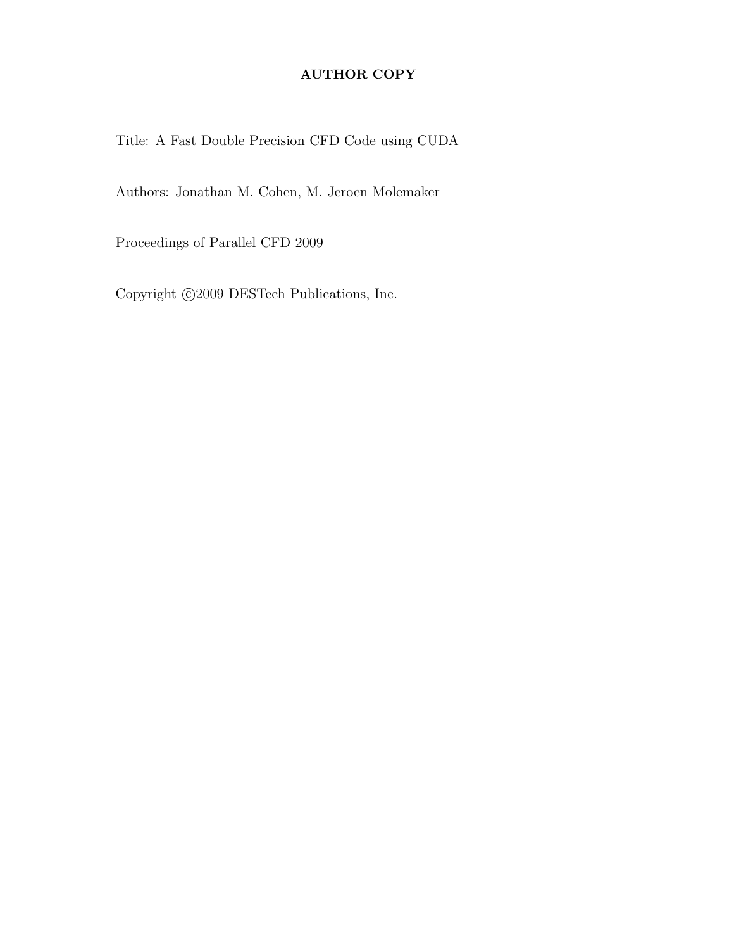# AUTHOR COPY

Title: A Fast Double Precision CFD Code using CUDA

Authors: Jonathan M. Cohen, M. Jeroen Molemaker

Proceedings of Parallel CFD 2009

Copyright  $\bigcirc$  2009 DESTech Publications, Inc.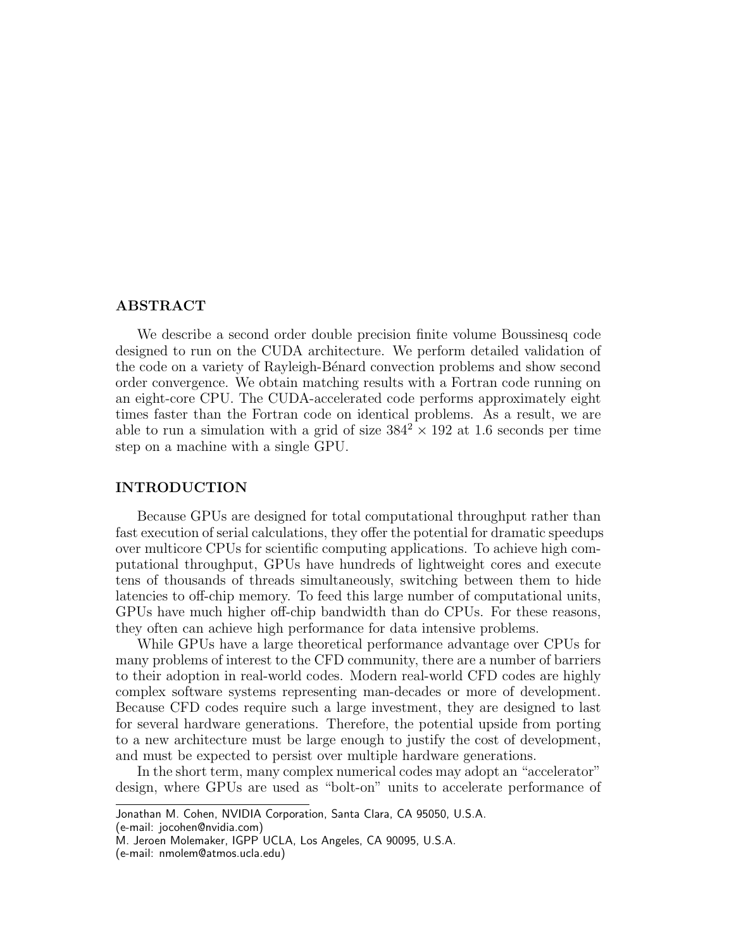# ABSTRACT

We describe a second order double precision finite volume Boussinesq code designed to run on the CUDA architecture. We perform detailed validation of the code on a variety of Rayleigh-Bénard convection problems and show second order convergence. We obtain matching results with a Fortran code running on an eight-core CPU. The CUDA-accelerated code performs approximately eight times faster than the Fortran code on identical problems. As a result, we are able to run a simulation with a grid of size  $384^2 \times 192$  at 1.6 seconds per time step on a machine with a single GPU.

# INTRODUCTION

Because GPUs are designed for total computational throughput rather than fast execution of serial calculations, they offer the potential for dramatic speedups over multicore CPUs for scientific computing applications. To achieve high computational throughput, GPUs have hundreds of lightweight cores and execute tens of thousands of threads simultaneously, switching between them to hide latencies to off-chip memory. To feed this large number of computational units, GPUs have much higher off-chip bandwidth than do CPUs. For these reasons, they often can achieve high performance for data intensive problems.

While GPUs have a large theoretical performance advantage over CPUs for many problems of interest to the CFD community, there are a number of barriers to their adoption in real-world codes. Modern real-world CFD codes are highly complex software systems representing man-decades or more of development. Because CFD codes require such a large investment, they are designed to last for several hardware generations. Therefore, the potential upside from porting to a new architecture must be large enough to justify the cost of development, and must be expected to persist over multiple hardware generations.

In the short term, many complex numerical codes may adopt an "accelerator" design, where GPUs are used as "bolt-on" units to accelerate performance of

(e-mail: jocohen@nvidia.com)

Jonathan M. Cohen, NVIDIA Corporation, Santa Clara, CA 95050, U.S.A.

M. Jeroen Molemaker, IGPP UCLA, Los Angeles, CA 90095, U.S.A.

<sup>(</sup>e-mail: nmolem@atmos.ucla.edu)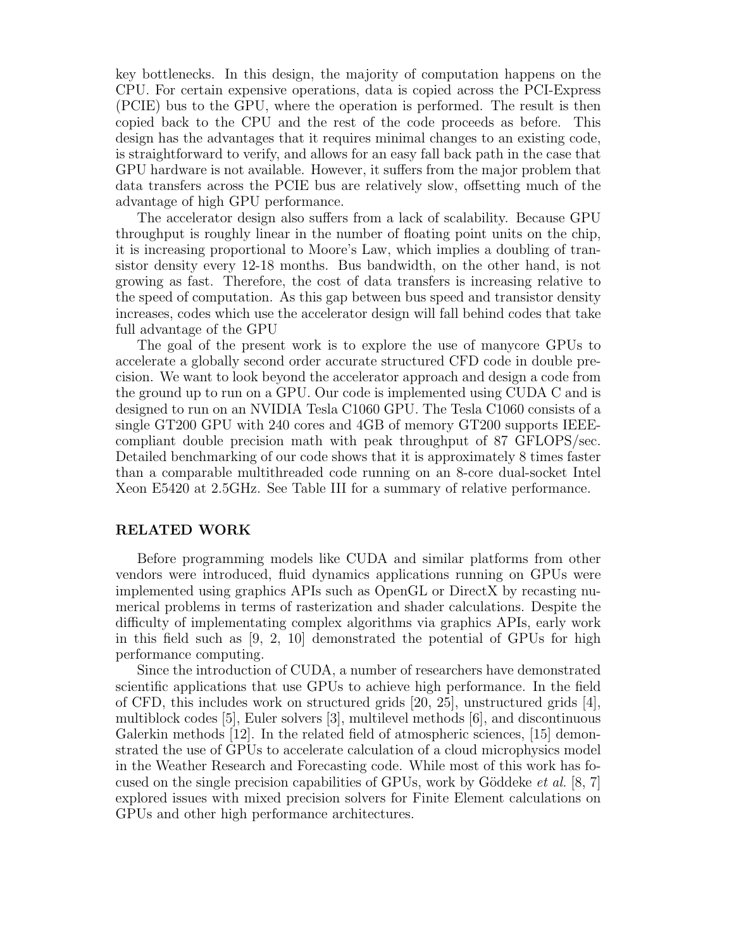key bottlenecks. In this design, the majority of computation happens on the CPU. For certain expensive operations, data is copied across the PCI-Express (PCIE) bus to the GPU, where the operation is performed. The result is then copied back to the CPU and the rest of the code proceeds as before. This design has the advantages that it requires minimal changes to an existing code, is straightforward to verify, and allows for an easy fall back path in the case that GPU hardware is not available. However, it suffers from the major problem that data transfers across the PCIE bus are relatively slow, offsetting much of the advantage of high GPU performance.

The accelerator design also suffers from a lack of scalability. Because GPU throughput is roughly linear in the number of floating point units on the chip, it is increasing proportional to Moore's Law, which implies a doubling of transistor density every 12-18 months. Bus bandwidth, on the other hand, is not growing as fast. Therefore, the cost of data transfers is increasing relative to the speed of computation. As this gap between bus speed and transistor density increases, codes which use the accelerator design will fall behind codes that take full advantage of the GPU

The goal of the present work is to explore the use of manycore GPUs to accelerate a globally second order accurate structured CFD code in double precision. We want to look beyond the accelerator approach and design a code from the ground up to run on a GPU. Our code is implemented using CUDA C and is designed to run on an NVIDIA Tesla C1060 GPU. The Tesla C1060 consists of a single GT200 GPU with 240 cores and 4GB of memory GT200 supports IEEEcompliant double precision math with peak throughput of 87 GFLOPS/sec. Detailed benchmarking of our code shows that it is approximately 8 times faster than a comparable multithreaded code running on an 8-core dual-socket Intel Xeon E5420 at 2.5GHz. See Table III for a summary of relative performance.

# RELATED WORK

Before programming models like CUDA and similar platforms from other vendors were introduced, fluid dynamics applications running on GPUs were implemented using graphics APIs such as OpenGL or DirectX by recasting numerical problems in terms of rasterization and shader calculations. Despite the difficulty of implementating complex algorithms via graphics APIs, early work in this field such as [9, 2, 10] demonstrated the potential of GPUs for high performance computing.

Since the introduction of CUDA, a number of researchers have demonstrated scientific applications that use GPUs to achieve high performance. In the field of CFD, this includes work on structured grids [20, 25], unstructured grids [4], multiblock codes [5], Euler solvers [3], multilevel methods [6], and discontinuous Galerkin methods [12]. In the related field of atmospheric sciences, [15] demonstrated the use of GPUs to accelerate calculation of a cloud microphysics model in the Weather Research and Forecasting code. While most of this work has focused on the single precision capabilities of GPUs, work by Göddeke *et al.* [8, 7] explored issues with mixed precision solvers for Finite Element calculations on GPUs and other high performance architectures.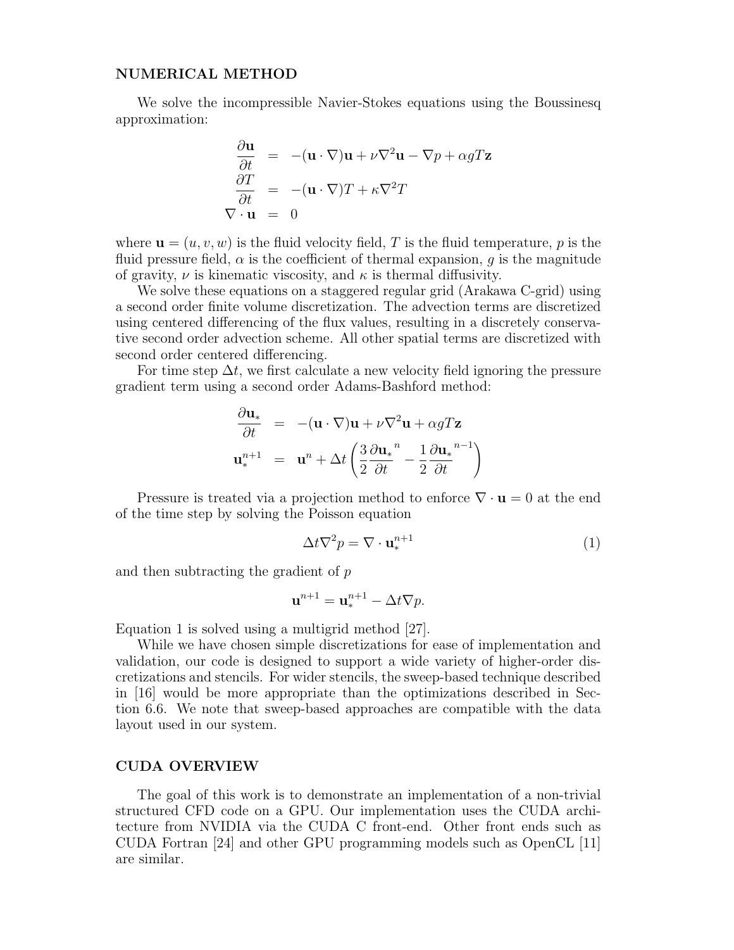# NUMERICAL METHOD

We solve the incompressible Navier-Stokes equations using the Boussinesq approximation:

$$
\frac{\partial \mathbf{u}}{\partial t} = -(\mathbf{u} \cdot \nabla)\mathbf{u} + \nu \nabla^2 \mathbf{u} - \nabla p + \alpha g T \mathbf{z}
$$

$$
\frac{\partial T}{\partial t} = -(\mathbf{u} \cdot \nabla)T + \kappa \nabla^2 T
$$

$$
\nabla \cdot \mathbf{u} = 0
$$

where  $\mathbf{u} = (u, v, w)$  is the fluid velocity field, T is the fluid temperature, p is the fluid pressure field,  $\alpha$  is the coefficient of thermal expansion, q is the magnitude of gravity,  $\nu$  is kinematic viscosity, and  $\kappa$  is thermal diffusivity.

We solve these equations on a staggered regular grid (Arakawa C-grid) using a second order finite volume discretization. The advection terms are discretized using centered differencing of the flux values, resulting in a discretely conservative second order advection scheme. All other spatial terms are discretized with second order centered differencing.

For time step  $\Delta t$ , we first calculate a new velocity field ignoring the pressure gradient term using a second order Adams-Bashford method:

$$
\frac{\partial \mathbf{u}_*}{\partial t} = -(\mathbf{u} \cdot \nabla)\mathbf{u} + \nu \nabla^2 \mathbf{u} + \alpha g T \mathbf{z}
$$

$$
\mathbf{u}_*^{n+1} = \mathbf{u}^n + \Delta t \left( \frac{3}{2} \frac{\partial \mathbf{u}_*}{\partial t}^n - \frac{1}{2} \frac{\partial \mathbf{u}_*}{\partial t}^{n-1} \right)
$$

Pressure is treated via a projection method to enforce  $\nabla \cdot \mathbf{u} = 0$  at the end of the time step by solving the Poisson equation

$$
\Delta t \nabla^2 p = \nabla \cdot \mathbf{u}_*^{n+1} \tag{1}
$$

and then subtracting the gradient of p

$$
\mathbf{u}^{n+1} = \mathbf{u}^{n+1}_* - \Delta t \nabla p.
$$

Equation 1 is solved using a multigrid method [27].

While we have chosen simple discretizations for ease of implementation and validation, our code is designed to support a wide variety of higher-order discretizations and stencils. For wider stencils, the sweep-based technique described in [16] would be more appropriate than the optimizations described in Section 6.6. We note that sweep-based approaches are compatible with the data layout used in our system.

# CUDA OVERVIEW

The goal of this work is to demonstrate an implementation of a non-trivial structured CFD code on a GPU. Our implementation uses the CUDA architecture from NVIDIA via the CUDA C front-end. Other front ends such as CUDA Fortran [24] and other GPU programming models such as OpenCL [11] are similar.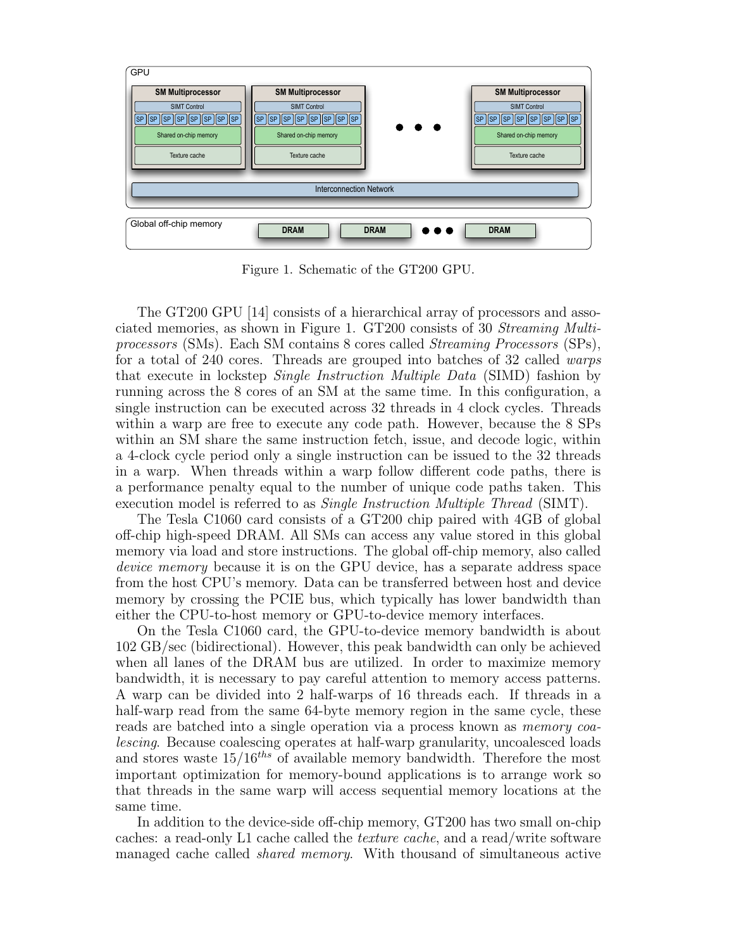

Figure 1. Schematic of the GT200 GPU.

The GT200 GPU [14] consists of a hierarchical array of processors and associated memories, as shown in Figure 1. GT200 consists of 30 Streaming Multiprocessors (SMs). Each SM contains 8 cores called Streaming Processors (SPs), for a total of 240 cores. Threads are grouped into batches of 32 called warps that execute in lockstep Single Instruction Multiple Data (SIMD) fashion by running across the 8 cores of an SM at the same time. In this configuration, a single instruction can be executed across 32 threads in 4 clock cycles. Threads within a warp are free to execute any code path. However, because the 8 SPs within an SM share the same instruction fetch, issue, and decode logic, within a 4-clock cycle period only a single instruction can be issued to the 32 threads in a warp. When threads within a warp follow different code paths, there is a performance penalty equal to the number of unique code paths taken. This execution model is referred to as *Single Instruction Multiple Thread* (SIMT).

The Tesla C1060 card consists of a GT200 chip paired with 4GB of global off-chip high-speed DRAM. All SMs can access any value stored in this global memory via load and store instructions. The global off-chip memory, also called device memory because it is on the GPU device, has a separate address space from the host CPU's memory. Data can be transferred between host and device memory by crossing the PCIE bus, which typically has lower bandwidth than either the CPU-to-host memory or GPU-to-device memory interfaces.

On the Tesla C1060 card, the GPU-to-device memory bandwidth is about 102 GB/sec (bidirectional). However, this peak bandwidth can only be achieved when all lanes of the DRAM bus are utilized. In order to maximize memory bandwidth, it is necessary to pay careful attention to memory access patterns. A warp can be divided into 2 half-warps of 16 threads each. If threads in a half-warp read from the same 64-byte memory region in the same cycle, these reads are batched into a single operation via a process known as memory coalescing. Because coalescing operates at half-warp granularity, uncoalesced loads and stores waste  $15/16$ <sup>ths</sup> of available memory bandwidth. Therefore the most important optimization for memory-bound applications is to arrange work so that threads in the same warp will access sequential memory locations at the same time.

In addition to the device-side off-chip memory, GT200 has two small on-chip caches: a read-only L1 cache called the texture cache, and a read/write software managed cache called shared memory. With thousand of simultaneous active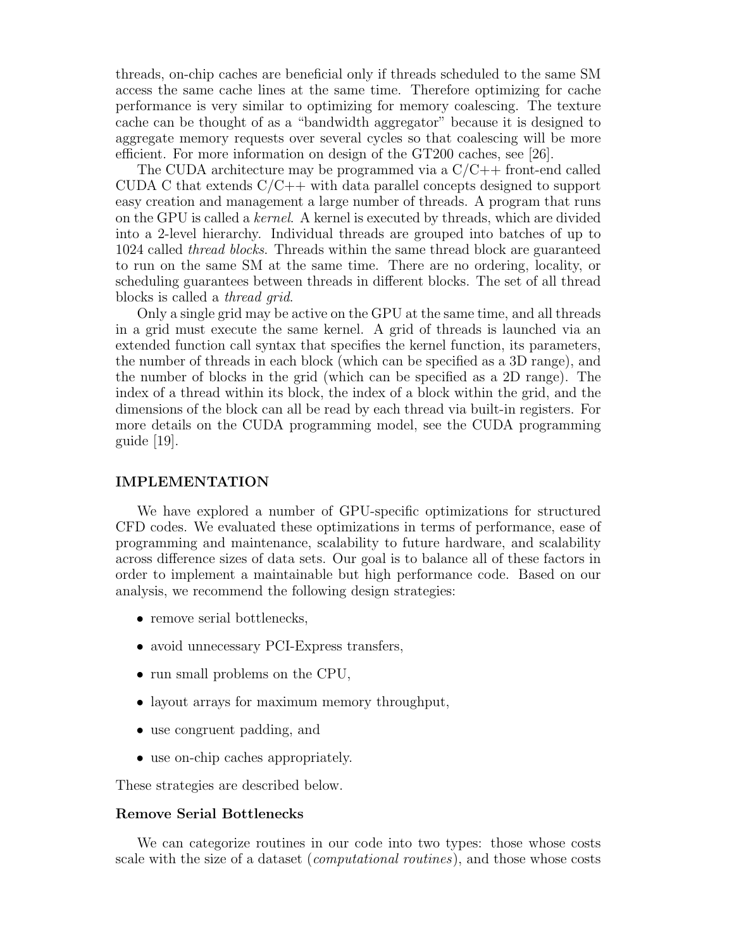threads, on-chip caches are beneficial only if threads scheduled to the same SM access the same cache lines at the same time. Therefore optimizing for cache performance is very similar to optimizing for memory coalescing. The texture cache can be thought of as a "bandwidth aggregator" because it is designed to aggregate memory requests over several cycles so that coalescing will be more efficient. For more information on design of the GT200 caches, see [26].

The CUDA architecture may be programmed via a  $C/C++$  front-end called CUDA C that extends  $C/C++$  with data parallel concepts designed to support easy creation and management a large number of threads. A program that runs on the GPU is called a kernel. A kernel is executed by threads, which are divided into a 2-level hierarchy. Individual threads are grouped into batches of up to 1024 called thread blocks. Threads within the same thread block are guaranteed to run on the same SM at the same time. There are no ordering, locality, or scheduling guarantees between threads in different blocks. The set of all thread blocks is called a thread grid.

Only a single grid may be active on the GPU at the same time, and all threads in a grid must execute the same kernel. A grid of threads is launched via an extended function call syntax that specifies the kernel function, its parameters, the number of threads in each block (which can be specified as a 3D range), and the number of blocks in the grid (which can be specified as a 2D range). The index of a thread within its block, the index of a block within the grid, and the dimensions of the block can all be read by each thread via built-in registers. For more details on the CUDA programming model, see the CUDA programming guide [19].

# IMPLEMENTATION

We have explored a number of GPU-specific optimizations for structured CFD codes. We evaluated these optimizations in terms of performance, ease of programming and maintenance, scalability to future hardware, and scalability across difference sizes of data sets. Our goal is to balance all of these factors in order to implement a maintainable but high performance code. Based on our analysis, we recommend the following design strategies:

- remove serial bottlenecks,
- avoid unnecessary PCI-Express transfers,
- run small problems on the CPU,
- layout arrays for maximum memory throughput,
- use congruent padding, and
- use on-chip caches appropriately.

These strategies are described below.

### Remove Serial Bottlenecks

We can categorize routines in our code into two types: those whose costs scale with the size of a dataset (computational routines), and those whose costs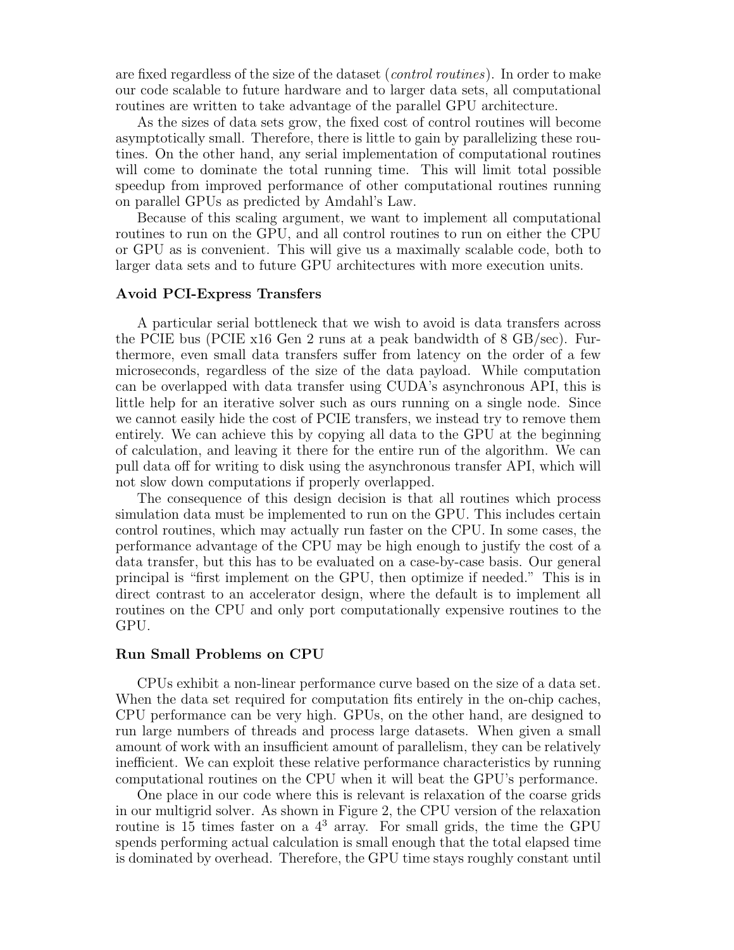are fixed regardless of the size of the dataset (control routines). In order to make our code scalable to future hardware and to larger data sets, all computational routines are written to take advantage of the parallel GPU architecture.

As the sizes of data sets grow, the fixed cost of control routines will become asymptotically small. Therefore, there is little to gain by parallelizing these routines. On the other hand, any serial implementation of computational routines will come to dominate the total running time. This will limit total possible speedup from improved performance of other computational routines running on parallel GPUs as predicted by Amdahl's Law.

Because of this scaling argument, we want to implement all computational routines to run on the GPU, and all control routines to run on either the CPU or GPU as is convenient. This will give us a maximally scalable code, both to larger data sets and to future GPU architectures with more execution units.

#### Avoid PCI-Express Transfers

A particular serial bottleneck that we wish to avoid is data transfers across the PCIE bus (PCIE x16 Gen 2 runs at a peak bandwidth of 8 GB/sec). Furthermore, even small data transfers suffer from latency on the order of a few microseconds, regardless of the size of the data payload. While computation can be overlapped with data transfer using CUDA's asynchronous API, this is little help for an iterative solver such as ours running on a single node. Since we cannot easily hide the cost of PCIE transfers, we instead try to remove them entirely. We can achieve this by copying all data to the GPU at the beginning of calculation, and leaving it there for the entire run of the algorithm. We can pull data off for writing to disk using the asynchronous transfer API, which will not slow down computations if properly overlapped.

The consequence of this design decision is that all routines which process simulation data must be implemented to run on the GPU. This includes certain control routines, which may actually run faster on the CPU. In some cases, the performance advantage of the CPU may be high enough to justify the cost of a data transfer, but this has to be evaluated on a case-by-case basis. Our general principal is "first implement on the GPU, then optimize if needed." This is in direct contrast to an accelerator design, where the default is to implement all routines on the CPU and only port computationally expensive routines to the GPU.

#### Run Small Problems on CPU

CPUs exhibit a non-linear performance curve based on the size of a data set. When the data set required for computation fits entirely in the on-chip caches, CPU performance can be very high. GPUs, on the other hand, are designed to run large numbers of threads and process large datasets. When given a small amount of work with an insufficient amount of parallelism, they can be relatively inefficient. We can exploit these relative performance characteristics by running computational routines on the CPU when it will beat the GPU's performance.

One place in our code where this is relevant is relaxation of the coarse grids in our multigrid solver. As shown in Figure 2, the CPU version of the relaxation routine is 15 times faster on a  $4<sup>3</sup>$  array. For small grids, the time the GPU spends performing actual calculation is small enough that the total elapsed time is dominated by overhead. Therefore, the GPU time stays roughly constant until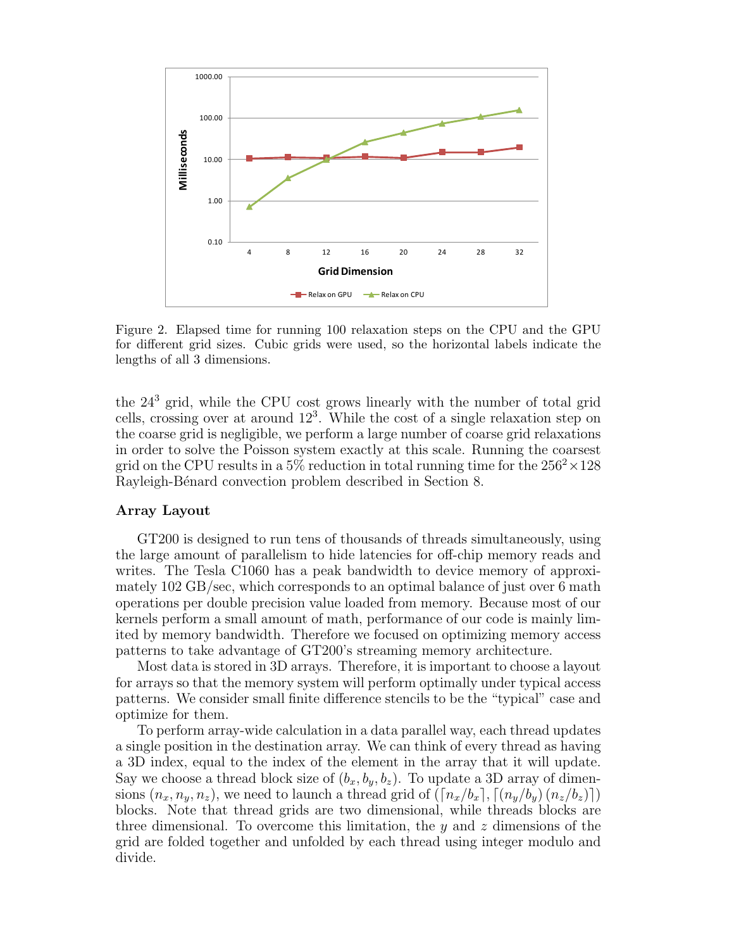

Figure 2. Elapsed time for running 100 relaxation steps on the CPU and the GPU for different grid sizes. Cubic grids were used, so the horizontal labels indicate the lengths of all 3 dimensions.

the 24<sup>3</sup> grid, while the CPU cost grows linearly with the number of total grid cells, crossing over at around 12<sup>3</sup> . While the cost of a single relaxation step on the coarse grid is negligible, we perform a large number of coarse grid relaxations in order to solve the Poisson system exactly at this scale. Running the coarsest grid on the CPU results in a 5% reduction in total running time for the  $256^2 \times 128$ Rayleigh-Bénard convection problem described in Section 8.

## Array Layout

GT200 is designed to run tens of thousands of threads simultaneously, using the large amount of parallelism to hide latencies for off-chip memory reads and writes. The Tesla C1060 has a peak bandwidth to device memory of approximately 102 GB/sec, which corresponds to an optimal balance of just over 6 math operations per double precision value loaded from memory. Because most of our kernels perform a small amount of math, performance of our code is mainly limited by memory bandwidth. Therefore we focused on optimizing memory access patterns to take advantage of GT200's streaming memory architecture.

Most data is stored in 3D arrays. Therefore, it is important to choose a layout for arrays so that the memory system will perform optimally under typical access patterns. We consider small finite difference stencils to be the "typical" case and optimize for them.

To perform array-wide calculation in a data parallel way, each thread updates a single position in the destination array. We can think of every thread as having a 3D index, equal to the index of the element in the array that it will update. Say we choose a thread block size of  $(b_x, b_y, b_z)$ . To update a 3D array of dimensions  $(n_x, n_y, n_z)$ , we need to launch a thread grid of  $(\lceil n_x/b_x \rceil, \lceil (n_y/b_y) (n_z/b_z) \rceil)$ blocks. Note that thread grids are two dimensional, while threads blocks are three dimensional. To overcome this limitation, the  $y$  and  $z$  dimensions of the grid are folded together and unfolded by each thread using integer modulo and divide.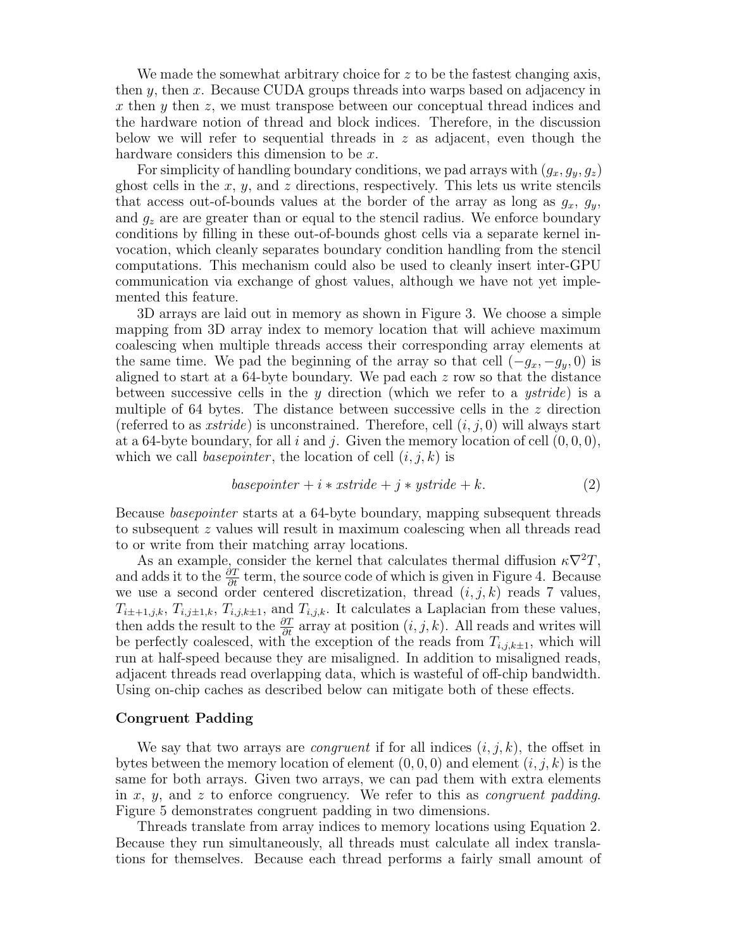We made the somewhat arbitrary choice for  $z$  to be the fastest changing axis, then  $y$ , then  $x$ . Because CUDA groups threads into warps based on adjacency in x then  $\gamma$  then z, we must transpose between our conceptual thread indices and the hardware notion of thread and block indices. Therefore, in the discussion below we will refer to sequential threads in  $z$  as adjacent, even though the hardware considers this dimension to be x.

For simplicity of handling boundary conditions, we pad arrays with  $(g_x, g_y, g_z)$ ghost cells in the  $x, y$ , and  $z$  directions, respectively. This lets us write stencils that access out-of-bounds values at the border of the array as long as  $g_x$ ,  $g_y$ , and  $g_z$  are are greater than or equal to the stencil radius. We enforce boundary conditions by filling in these out-of-bounds ghost cells via a separate kernel invocation, which cleanly separates boundary condition handling from the stencil computations. This mechanism could also be used to cleanly insert inter-GPU communication via exchange of ghost values, although we have not yet implemented this feature.

3D arrays are laid out in memory as shown in Figure 3. We choose a simple mapping from 3D array index to memory location that will achieve maximum coalescing when multiple threads access their corresponding array elements at the same time. We pad the beginning of the array so that cell  $(-g_x, -g_y, 0)$  is aligned to start at a 64-byte boundary. We pad each  $z$  row so that the distance between successive cells in the y direction (which we refer to a ystride) is a multiple of 64 bytes. The distance between successive cells in the  $z$  direction (referred to as *xstride*) is unconstrained. Therefore, cell  $(i, j, 0)$  will always start at a 64-byte boundary, for all i and j. Given the memory location of cell  $(0,0,0)$ , which we call *basepointer*, the location of cell  $(i, j, k)$  is

$$
base pointer + i * x stride + j * y stride + k.
$$
\n<sup>(2)</sup>

Because basepointer starts at a 64-byte boundary, mapping subsequent threads to subsequent z values will result in maximum coalescing when all threads read to or write from their matching array locations.

As an example, consider the kernel that calculates thermal diffusion  $\kappa \nabla^2 T$ , and adds it to the  $\frac{\partial T}{\partial t}$  term, the source code of which is given in Figure 4. Because we use a second order centered discretization, thread  $(i, j, k)$  reads 7 values,  $T_{i\pm+1,j,k}, T_{i,j\pm1,k}, T_{i,j,k\pm 1}$ , and  $T_{i,j,k}$ . It calculates a Laplacian from these values, then adds the result to the  $\frac{\partial T}{\partial t}$  array at position  $(i, j, k)$ . All reads and writes will be perfectly coalesced, with the exception of the reads from  $T_{i,j,k\pm 1}$ , which will run at half-speed because they are misaligned. In addition to misaligned reads, adjacent threads read overlapping data, which is wasteful of off-chip bandwidth. Using on-chip caches as described below can mitigate both of these effects.

### Congruent Padding

We say that two arrays are *congruent* if for all indices  $(i, j, k)$ , the offset in bytes between the memory location of element  $(0, 0, 0)$  and element  $(i, j, k)$  is the same for both arrays. Given two arrays, we can pad them with extra elements in x, y, and z to enforce congruency. We refer to this as *congruent padding*. Figure 5 demonstrates congruent padding in two dimensions.

Threads translate from array indices to memory locations using Equation 2. Because they run simultaneously, all threads must calculate all index translations for themselves. Because each thread performs a fairly small amount of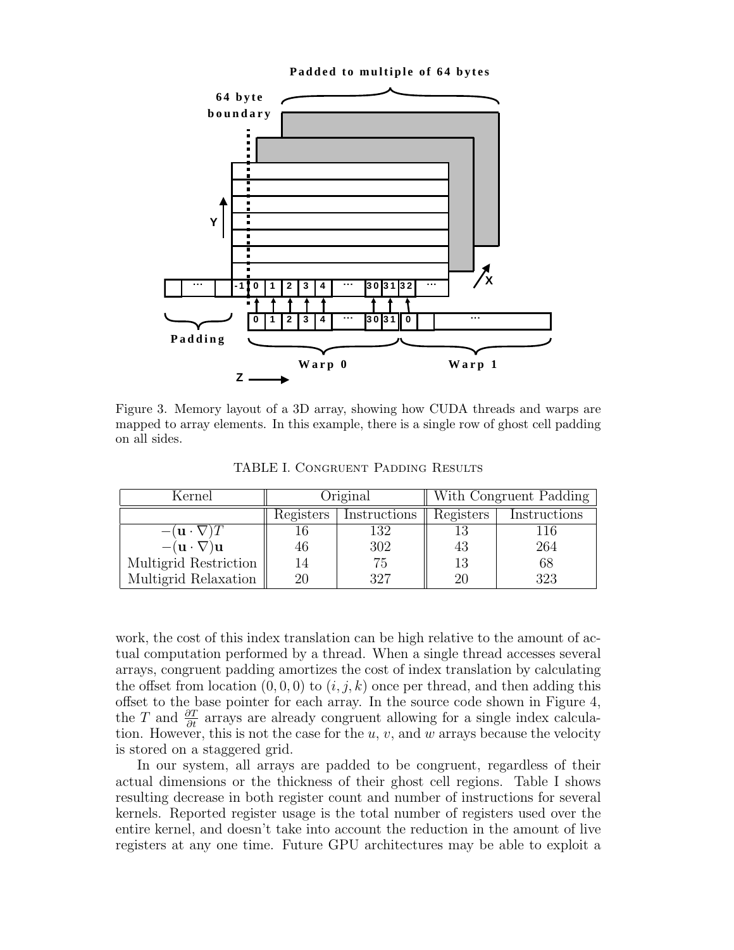

Figure 3. Memory layout of a 3D array, showing how CUDA threads and warps are mapped to array elements. In this example, there is a single row of ghost cell padding on all sides.

TABLE I. Congruent Padding Results

| Kernel                               | Original  |              | With Congruent Padding |              |
|--------------------------------------|-----------|--------------|------------------------|--------------|
|                                      | Registers | Instructions | Registers              | Instructions |
| $-(\mathbf{u} \cdot \nabla)$         |           | 132          | 13                     | 116          |
| $-(\mathbf{u}\cdot\nabla)\mathbf{u}$ | 46        | 302          | 43                     | 264          |
| Multigrid Restriction                | 14        | 75           | 13                     | 68           |
| Multigrid Relaxation                 | 20        | 397          | 20                     | 323          |

work, the cost of this index translation can be high relative to the amount of actual computation performed by a thread. When a single thread accesses several arrays, congruent padding amortizes the cost of index translation by calculating the offset from location  $(0, 0, 0)$  to  $(i, j, k)$  once per thread, and then adding this offset to the base pointer for each array. In the source code shown in Figure 4, the T and  $\frac{\partial T}{\partial t}$  arrays are already congruent allowing for a single index calculation. However, this is not the case for the  $u, v$ , and  $w$  arrays because the velocity is stored on a staggered grid.

In our system, all arrays are padded to be congruent, regardless of their actual dimensions or the thickness of their ghost cell regions. Table I shows resulting decrease in both register count and number of instructions for several kernels. Reported register usage is the total number of registers used over the entire kernel, and doesn't take into account the reduction in the amount of live registers at any one time. Future GPU architectures may be able to exploit a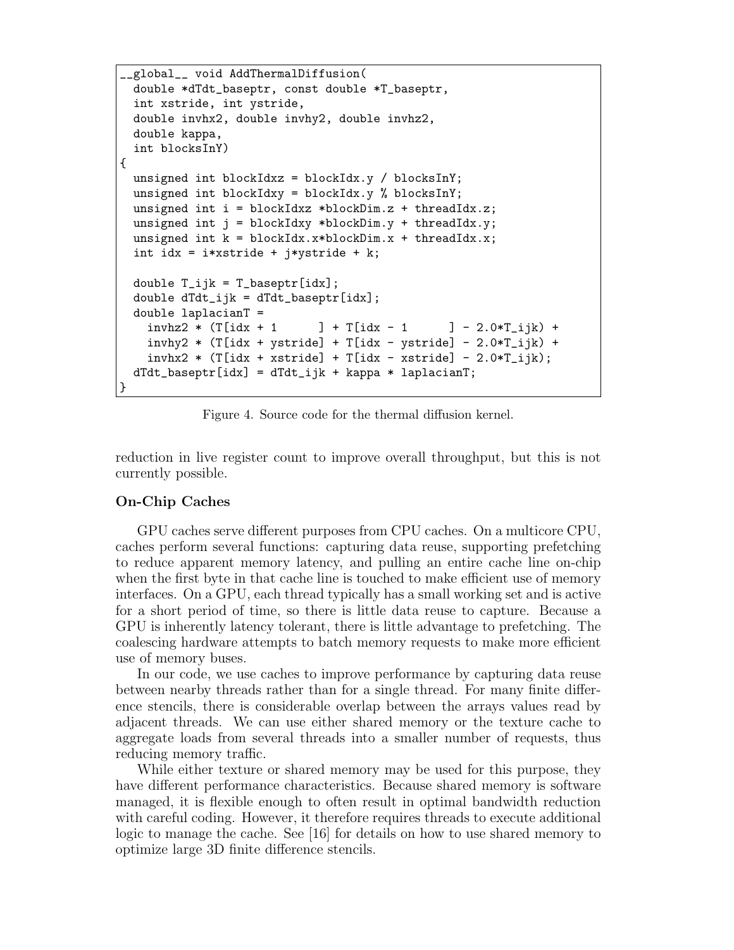```
__global__ void AddThermalDiffusion(
 double *dTdt_baseptr, const double *T_baseptr,
  int xstride, int ystride,
 double invhx2, double invhy2, double invhz2,
 double kappa,
  int blocksInY)
{
 unsigned int blockIdxz = blockIdx.y / blocksInY;
 unsigned int blockIdxy = blockIdx.y % blocksInY;
 unsigned int i = blockIdxz *blockDim.z + threadIdx.z;
 unsigned int j = blockIdxy * blockDim.y + threadIdx.y;unsigned int k = blockIdx.x * blockDim.x + threadIdx.x;int idx = i*xstride + j*ystride + k;
 double T_ijk = T_baseptr[idx];double dTdt_ijk = dTdt_baseptr[idx];double laplacianT =
   invhz2 * (T[idx + 1] + T[idx - 1] - 2.0*T_ijk) +invhy2 * (T[idx + ystride] + T[idx - ystride] - 2.0*T_ijk) +invhx2 * (T[idx + xstride] + T[idx - xstride] - 2.0*T_ijk);
 dTdt_baseptr[idx] = dTdt_ij k + kappa * lapp}
```
Figure 4. Source code for the thermal diffusion kernel.

reduction in live register count to improve overall throughput, but this is not currently possible.

## On-Chip Caches

GPU caches serve different purposes from CPU caches. On a multicore CPU, caches perform several functions: capturing data reuse, supporting prefetching to reduce apparent memory latency, and pulling an entire cache line on-chip when the first byte in that cache line is touched to make efficient use of memory interfaces. On a GPU, each thread typically has a small working set and is active for a short period of time, so there is little data reuse to capture. Because a GPU is inherently latency tolerant, there is little advantage to prefetching. The coalescing hardware attempts to batch memory requests to make more efficient use of memory buses.

In our code, we use caches to improve performance by capturing data reuse between nearby threads rather than for a single thread. For many finite difference stencils, there is considerable overlap between the arrays values read by adjacent threads. We can use either shared memory or the texture cache to aggregate loads from several threads into a smaller number of requests, thus reducing memory traffic.

While either texture or shared memory may be used for this purpose, they have different performance characteristics. Because shared memory is software managed, it is flexible enough to often result in optimal bandwidth reduction with careful coding. However, it therefore requires threads to execute additional logic to manage the cache. See [16] for details on how to use shared memory to optimize large 3D finite difference stencils.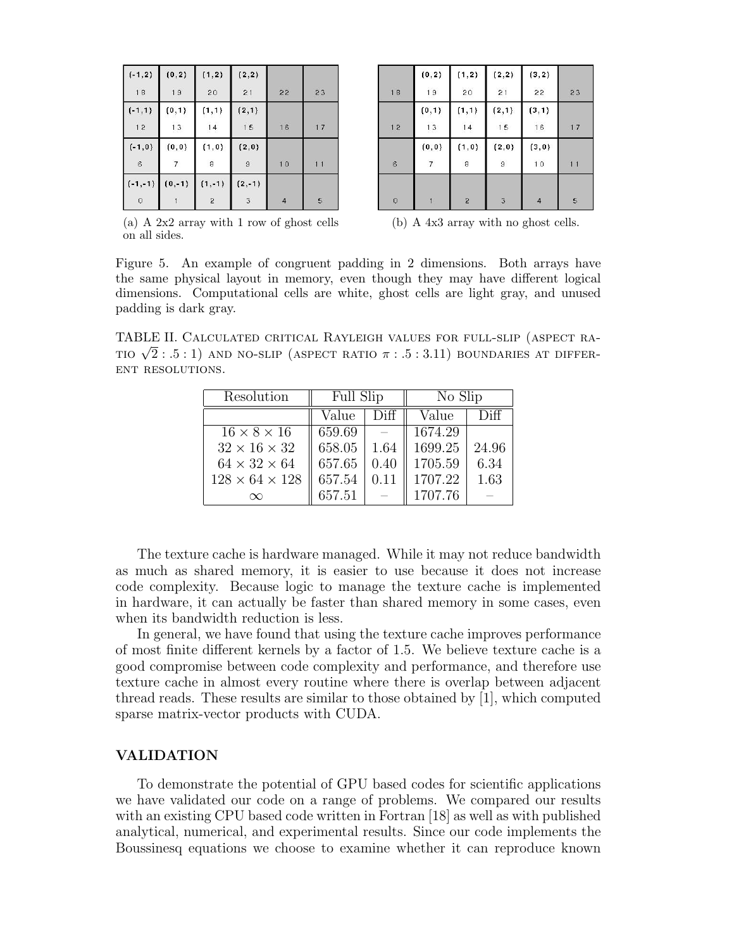| $(-1, 2)$       | (0, 2)         | (1, 2)   | (2, 2)                    |                |    |
|-----------------|----------------|----------|---------------------------|----------------|----|
| 18              | 19             | 20       | 21                        | 22             | 23 |
| $(-1,1)$        | (0,1)          | (1, 1)   | (2,1)                     |                |    |
| 12              | 13             | $14$     | 15                        | 16             | 17 |
| $(-1,0)$        | (0, 0)         | (1, 0)   | (2, 0)                    |                |    |
| $6\phantom{.}6$ | $\overline{7}$ | 8        | $\mathfrak{g}$            | 10             | 11 |
| $(-1,-1)$       | $(0,-1)$       | $(1,-1)$ | $(2,-1)$                  |                |    |
| 0               |                | 2        | $\ensuremath{\mathsf{3}}$ | $\overline{4}$ | 5  |

|                | (0, 2)         | (1, 2)         | (2, 2)          | (3, 2)         |    |
|----------------|----------------|----------------|-----------------|----------------|----|
| 18             | 19             | 20             | $\overline{2}1$ | 22             | 23 |
|                | (0,1)          | (1, 1)         | (2,1)           | (3,1)          |    |
| 12             | 13             | $14$           | 15              | 16             | 17 |
|                | (0, 0)         | (1, 0)         | (2,0)           | (3, 0)         |    |
| $\overline{6}$ | $\overline{7}$ | 8              | $\overline{9}$  | 10             | 11 |
|                |                |                |                 |                |    |
| $\circ$        |                | $\overline{2}$ | 3               | $\overline{4}$ | 5  |

(a) A 2x2 array with 1 row of ghost cells on all sides.

(b) A 4x3 array with no ghost cells.

Figure 5. An example of congruent padding in 2 dimensions. Both arrays have the same physical layout in memory, even though they may have different logical dimensions. Computational cells are white, ghost cells are light gray, and unused padding is dark gray.

TABLE II. Calculated critical Rayleigh values for full-slip (aspect ra-TABLE II. CALCULATED CRITICAL RAYLEIGH VALUES FOR FULL-SLIP (ASPECT RATIO  $\sqrt{2}$  : .5 : 1) AND NO-SLIP (ASPECT RATIO  $\pi$  : .5 : 3.11) boundaries at different resolutions.

| Resolution                 | <b>Full Slip</b> |      | No Slip |       |
|----------------------------|------------------|------|---------|-------|
|                            | Value            | Diff | Value   | Diff  |
| $16 \times 8 \times 16$    | 659.69           |      | 1674.29 |       |
| $32 \times 16 \times 32$   | 658.05           | 1.64 | 1699.25 | 24.96 |
| $64 \times 32 \times 64$   | 657.65           | 0.40 | 1705.59 | 6.34  |
| $128 \times 64 \times 128$ | 657.54           | 0.11 | 1707.22 | 1.63  |
|                            | 657.51           |      | 1707.76 |       |

The texture cache is hardware managed. While it may not reduce bandwidth as much as shared memory, it is easier to use because it does not increase code complexity. Because logic to manage the texture cache is implemented in hardware, it can actually be faster than shared memory in some cases, even when its bandwidth reduction is less.

In general, we have found that using the texture cache improves performance of most finite different kernels by a factor of 1.5. We believe texture cache is a good compromise between code complexity and performance, and therefore use texture cache in almost every routine where there is overlap between adjacent thread reads. These results are similar to those obtained by [1], which computed sparse matrix-vector products with CUDA.

# VALIDATION

To demonstrate the potential of GPU based codes for scientific applications we have validated our code on a range of problems. We compared our results with an existing CPU based code written in Fortran [18] as well as with published analytical, numerical, and experimental results. Since our code implements the Boussinesq equations we choose to examine whether it can reproduce known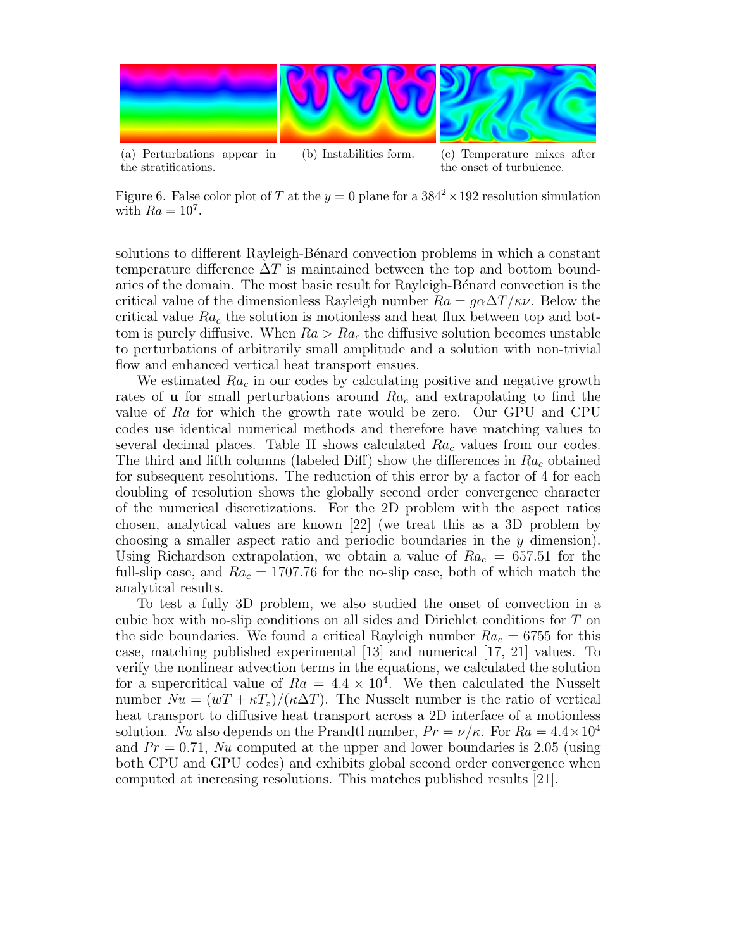

Figure 6. False color plot of T at the  $y = 0$  plane for a  $384^2 \times 192$  resolution simulation with  $Ra = 10^7$ .

the onset of turbulence.

the stratifications.

solutions to different Rayleigh-Bénard convection problems in which a constant temperature difference  $\Delta T$  is maintained between the top and bottom boundaries of the domain. The most basic result for Rayleigh-Bénard convection is the critical value of the dimensionless Rayleigh number  $Ra = g\alpha\Delta T/\kappa\nu$ . Below the critical value  $Ra_c$  the solution is motionless and heat flux between top and bottom is purely diffusive. When  $Ra > Ra_c$  the diffusive solution becomes unstable to perturbations of arbitrarily small amplitude and a solution with non-trivial flow and enhanced vertical heat transport ensues.

We estimated  $Ra_c$  in our codes by calculating positive and negative growth rates of **u** for small perturbations around  $Ra_c$  and extrapolating to find the value of Ra for which the growth rate would be zero. Our GPU and CPU codes use identical numerical methods and therefore have matching values to several decimal places. Table II shows calculated  $Ra_c$  values from our codes. The third and fifth columns (labeled Diff) show the differences in  $Ra_c$  obtained for subsequent resolutions. The reduction of this error by a factor of 4 for each doubling of resolution shows the globally second order convergence character of the numerical discretizations. For the 2D problem with the aspect ratios chosen, analytical values are known [22] (we treat this as a 3D problem by choosing a smaller aspect ratio and periodic boundaries in the y dimension). Using Richardson extrapolation, we obtain a value of  $Ra_c = 657.51$  for the full-slip case, and  $Ra_c = 1707.76$  for the no-slip case, both of which match the analytical results.

To test a fully 3D problem, we also studied the onset of convection in a cubic box with no-slip conditions on all sides and Dirichlet conditions for T on the side boundaries. We found a critical Rayleigh number  $Ra_c = 6755$  for this case, matching published experimental [13] and numerical [17, 21] values. To verify the nonlinear advection terms in the equations, we calculated the solution for a supercritical value of  $Ra = 4.4 \times 10^4$ . We then calculated the Nusselt number  $Nu = (wT + \kappa T_z)/(\kappa \Delta T)$ . The Nusselt number is the ratio of vertical heat transport to diffusive heat transport across a 2D interface of a motionless solution. Nu also depends on the Prandtl number,  $Pr = \nu/\kappa$ . For  $Ra = 4.4 \times 10^4$ and  $Pr = 0.71$ , Nu computed at the upper and lower boundaries is 2.05 (using both CPU and GPU codes) and exhibits global second order convergence when computed at increasing resolutions. This matches published results [21].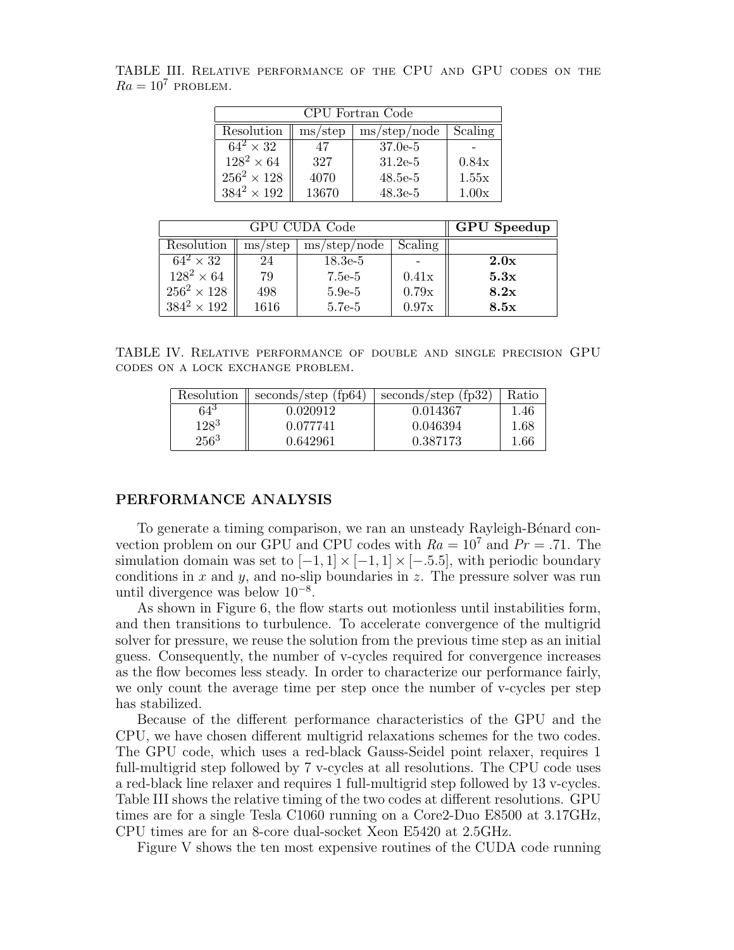TABLE III. Relative performance of the CPU and GPU codes on the  $Ra = 10^7$  PROBLEM.

| CPU Fortran Code   |                               |                                     |         |
|--------------------|-------------------------------|-------------------------------------|---------|
| Resolution         | $\,\mathrm{ms}/\mathrm{step}$ | $\text{ms}/\text{step}/\text{node}$ | Scaling |
| $64^2 \times 32$   | 47                            | $37.0e-5$                           |         |
| $128^2 \times 64$  | 327                           | $31.2e-5$                           | 0.84x   |
| $256^2 \times 128$ | 4070                          | $48.5e-5$                           | 1.55x   |
| $384^2 \times 192$ | 13670                         | $48.3e-5$                           | 1.00x   |

| GPU CUDA Code      |         |              | <b>GPU</b> Speedup |      |
|--------------------|---------|--------------|--------------------|------|
| Resolution         | ms/step | ms/step/node | Scaling            |      |
| $64^2 \times 32$   | 24      | $18.3e-5$    |                    | 2.0x |
| $128^2 \times 64$  | 79      | 7.5e-5       | 0.41x              | 5.3x |
| $256^2 \times 128$ | 498     | $5.9e-5$     | 0.79x              | 8.2x |
| $384^2 \times 192$ | 1616    | 5.7e-5       | 0.97x              | 8.5x |

TABLE IV. Relative performance of double and single precision GPU codes on a lock exchange problem.

| Resolution | seconds/step $(fp64)$ | seconds/step (fp32) | Ratio |
|------------|-----------------------|---------------------|-------|
| 645        | 0.020912              | 0.014367            | 1.46  |
| $128^3$    | 0.077741              | 0.046394            | 1.68  |
| $256^3$    | 0.642961              | 0.387173            | 1.66  |

# PERFORMANCE ANALYSIS

To generate a timing comparison, we ran an unsteady Rayleigh-Bénard convection problem on our GPU and CPU codes with  $Ra = 10^7$  and  $Pr = .71$ . The simulation domain was set to  $[-1, 1] \times [-1, 1] \times [-5.5]$ , with periodic boundary conditions in x and y, and no-slip boundaries in z. The pressure solver was run until divergence was below 10<sup>−</sup><sup>8</sup> .

As shown in Figure 6, the flow starts out motionless until instabilities form, and then transitions to turbulence. To accelerate convergence of the multigrid solver for pressure, we reuse the solution from the previous time step as an initial guess. Consequently, the number of v-cycles required for convergence increases as the flow becomes less steady. In order to characterize our performance fairly, we only count the average time per step once the number of v-cycles per step has stabilized.

Because of the different performance characteristics of the GPU and the CPU, we have chosen different multigrid relaxations schemes for the two codes. The GPU code, which uses a red-black Gauss-Seidel point relaxer, requires 1 full-multigrid step followed by 7 v-cycles at all resolutions. The CPU code uses a red-black line relaxer and requires 1 full-multigrid step followed by 13 v-cycles. Table III shows the relative timing of the two codes at different resolutions. GPU times are for a single Tesla C1060 running on a Core2-Duo E8500 at 3.17GHz, CPU times are for an 8-core dual-socket Xeon E5420 at 2.5GHz.

Figure V shows the ten most expensive routines of the CUDA code running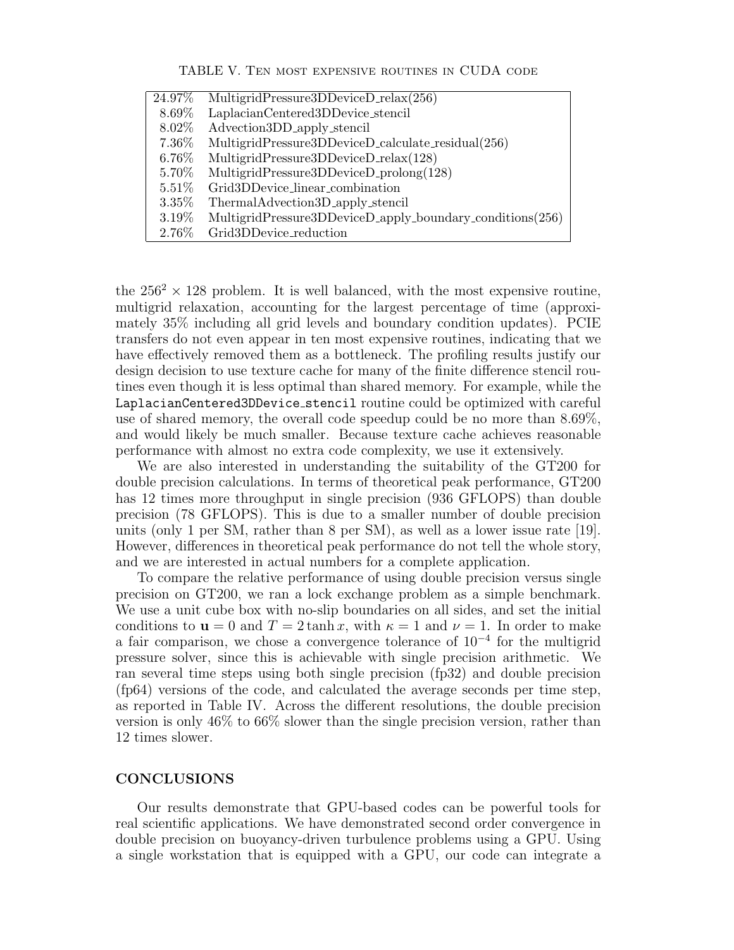| TABLE V. TEN MOST EXPENSIVE ROUTINES IN CUDA CODE |  |  |
|---------------------------------------------------|--|--|
|---------------------------------------------------|--|--|

| 24.97%   | MultigridPressure3DDeviceD_relax(256)                     |
|----------|-----------------------------------------------------------|
| 8.69%    | LaplacianCentered3DDevice_stencil                         |
| 8.02%    | Advection3DD_apply_stencil                                |
| 7.36%    | MultigridPressure3DDeviceD_calculate_residual(256)        |
| 6.76%    | MultigridPressure3DDeviceD_relax(128)                     |
| 5.70%    | MultigridPressure3DDeviceD_prolong(128)                   |
| $5.51\%$ | Grid3DDevice_linear_combination                           |
| $3.35\%$ | ThermalAdvection3D_apply_stencil                          |
| 3.19%    | MultigridPressure3DDeviceD_apply_boundary_conditions(256) |
| 2.76%    | Grid3DDevice_reduction                                    |
|          |                                                           |

the  $256^2 \times 128$  problem. It is well balanced, with the most expensive routine, multigrid relaxation, accounting for the largest percentage of time (approximately 35% including all grid levels and boundary condition updates). PCIE transfers do not even appear in ten most expensive routines, indicating that we have effectively removed them as a bottleneck. The profiling results justify our design decision to use texture cache for many of the finite difference stencil routines even though it is less optimal than shared memory. For example, while the LaplacianCentered3DDevice stencil routine could be optimized with careful use of shared memory, the overall code speedup could be no more than 8.69%, and would likely be much smaller. Because texture cache achieves reasonable performance with almost no extra code complexity, we use it extensively.

We are also interested in understanding the suitability of the GT200 for double precision calculations. In terms of theoretical peak performance, GT200 has 12 times more throughput in single precision (936 GFLOPS) than double precision (78 GFLOPS). This is due to a smaller number of double precision units (only 1 per SM, rather than 8 per SM), as well as a lower issue rate [19]. However, differences in theoretical peak performance do not tell the whole story, and we are interested in actual numbers for a complete application.

To compare the relative performance of using double precision versus single precision on GT200, we ran a lock exchange problem as a simple benchmark. We use a unit cube box with no-slip boundaries on all sides, and set the initial conditions to  $\mathbf{u} = 0$  and  $T = 2 \tanh x$ , with  $\kappa = 1$  and  $\nu = 1$ . In order to make a fair comparison, we chose a convergence tolerance of 10<sup>−</sup><sup>4</sup> for the multigrid pressure solver, since this is achievable with single precision arithmetic. We ran several time steps using both single precision (fp32) and double precision (fp64) versions of the code, and calculated the average seconds per time step, as reported in Table IV. Across the different resolutions, the double precision version is only 46% to 66% slower than the single precision version, rather than 12 times slower.

# **CONCLUSIONS**

Our results demonstrate that GPU-based codes can be powerful tools for real scientific applications. We have demonstrated second order convergence in double precision on buoyancy-driven turbulence problems using a GPU. Using a single workstation that is equipped with a GPU, our code can integrate a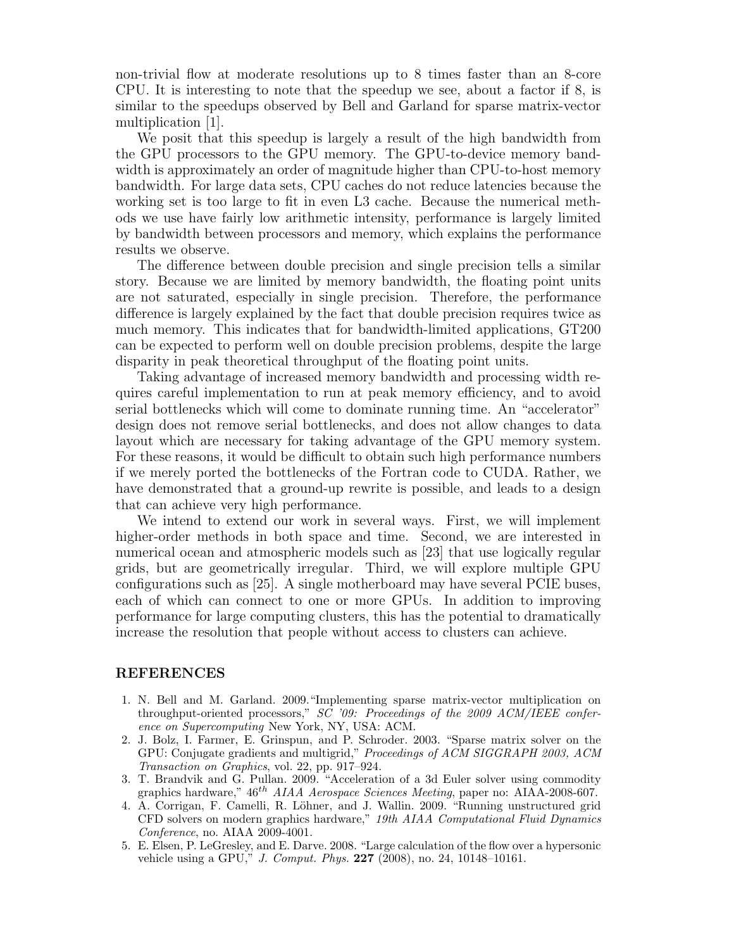non-trivial flow at moderate resolutions up to 8 times faster than an 8-core CPU. It is interesting to note that the speedup we see, about a factor if 8, is similar to the speedups observed by Bell and Garland for sparse matrix-vector multiplication [1].

We posit that this speedup is largely a result of the high bandwidth from the GPU processors to the GPU memory. The GPU-to-device memory bandwidth is approximately an order of magnitude higher than CPU-to-host memory bandwidth. For large data sets, CPU caches do not reduce latencies because the working set is too large to fit in even L3 cache. Because the numerical methods we use have fairly low arithmetic intensity, performance is largely limited by bandwidth between processors and memory, which explains the performance results we observe.

The difference between double precision and single precision tells a similar story. Because we are limited by memory bandwidth, the floating point units are not saturated, especially in single precision. Therefore, the performance difference is largely explained by the fact that double precision requires twice as much memory. This indicates that for bandwidth-limited applications, GT200 can be expected to perform well on double precision problems, despite the large disparity in peak theoretical throughput of the floating point units.

Taking advantage of increased memory bandwidth and processing width requires careful implementation to run at peak memory efficiency, and to avoid serial bottlenecks which will come to dominate running time. An "accelerator" design does not remove serial bottlenecks, and does not allow changes to data layout which are necessary for taking advantage of the GPU memory system. For these reasons, it would be difficult to obtain such high performance numbers if we merely ported the bottlenecks of the Fortran code to CUDA. Rather, we have demonstrated that a ground-up rewrite is possible, and leads to a design that can achieve very high performance.

We intend to extend our work in several ways. First, we will implement higher-order methods in both space and time. Second, we are interested in numerical ocean and atmospheric models such as [23] that use logically regular grids, but are geometrically irregular. Third, we will explore multiple GPU configurations such as [25]. A single motherboard may have several PCIE buses, each of which can connect to one or more GPUs. In addition to improving performance for large computing clusters, this has the potential to dramatically increase the resolution that people without access to clusters can achieve.

## REFERENCES

- 1. N. Bell and M. Garland. 2009."Implementing sparse matrix-vector multiplication on throughput-oriented processors,"  $S\bar{C}$  '09: Proceedings of the 2009 ACM/IEEE conference on Supercomputing New York, NY, USA: ACM.
- 2. J. Bolz, I. Farmer, E. Grinspun, and P. Schroder. 2003. "Sparse matrix solver on the GPU: Conjugate gradients and multigrid," Proceedings of ACM SIGGRAPH 2003, ACM Transaction on Graphics, vol. 22, pp. 917–924.
- 3. T. Brandvik and G. Pullan. 2009. "Acceleration of a 3d Euler solver using commodity graphics hardware,"  $46^{th}$  AIAA Aerospace Sciences Meeting, paper no: AIAA-2008-607.
- 4. A. Corrigan, F. Camelli, R. Löhner, and J. Wallin. 2009. "Running unstructured grid CFD solvers on modern graphics hardware," 19th AIAA Computational Fluid Dynamics Conference, no. AIAA 2009-4001.
- 5. E. Elsen, P. LeGresley, and E. Darve. 2008. "Large calculation of the flow over a hypersonic vehicle using a GPU," J. Comput. Phys. 227 (2008), no. 24, 10148–10161.